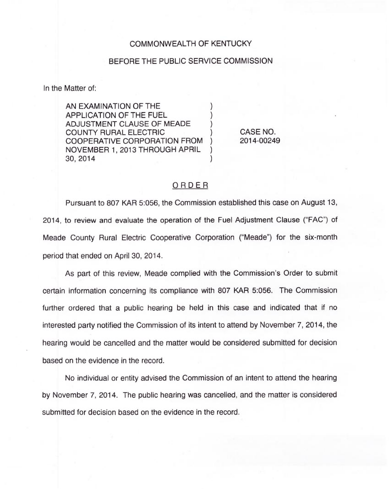## COMMONWEALTH OF KENTUCKY

## BEFORE THE PUBLIC SERVICE COMMISSION

In the Matter of:

AN EXAMINATION OF THE ) APPLICATION OF THE FUEL ) ADJUSTMENT CLAUSE OF MEADE ) COUNTY RURAL ELECTRIC ) COOPERATIVE CORPORATION FROM ) NOVEMBER 1, 2013 THROUGH APRIL ) 30, 2014 )

CASE NO. 2014-00249

## ORDER

Pursuant to 807 KAR 5:056, the Commission established this case on August 13, 2014, to review and evaluate the operation of the Fuel Adjustment Clause ("FAC") of Meade County Rural Electric Cooperative Corporation ("Meade") for the six-month period that ended on April 30, 2014.

As part of this review, Meade complied with the Commission's Order to submit certain information concerning its compliance with 807 KAR 5:056. The Commission further ordered that a public hearing be held in this case and indicated that if no interested party notified the Commission of its intent to attend by November 7, 2014, the hearing would be cancelled and the matter would be considered submitted for decision based on the evidence in the record.

No individual or entity advised the Commission of an intent to attend the hearing by November 7, 2014. The public hearing was cancelled, and the matter is considered submitted for decision based on the evidence in the record.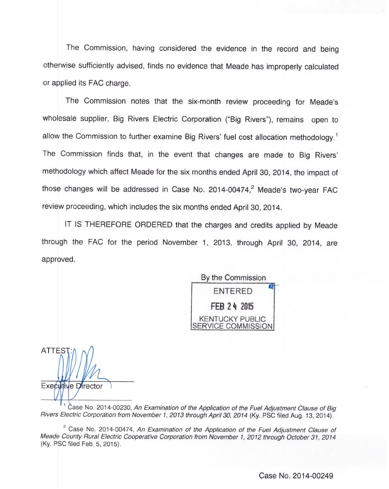The Commission, having considered the evidence in the record and being otherwise sufficiently advised, finds no evidence that Meade has improperly calculated or applied its FAC charge.

The Commission notes that the six-month review proceeding for Meade's wholesale supplier, Big Rivers Electric Corporation ("Big Rivers"), remains open to allow the Commission to further examine Big Rivers' fuel cost allocation methodology.<sup>1</sup> The Commission finds that, in the event that changes are made to Big Rivers' which affect Meade for the six months ended April 30, 2014, the impact of those changes will be addressed in Case No. 2014-00474,<sup>2</sup> Meade's two-year FAC review proceeding, which includes the six months ended April 30, 2014.

IT IS THEREFORE ORDERED that the charges and credits applied by Meade through the FAC for the period November 1, 2013, through April 30, 2014, are approved.

By the Commission ENTERED FEB 24 2015 KENTUCKY PUBLIC SERVICE COMMISSION

**ATTES** Executive Director

Case No. 2014-00230, An Examination of the Application of the Fuel Adjustment Clause of Big Rivers Electric Corporation from November 1, 2013 through April 30, 2014 (Ky. PSC filed Aug. 13, 2014).

 $2^2$  Case No. 2014-00474, An Examination of the Application of the Fuel Adjustment Clause of Meade County Rural Electric Cooperative Corporation from November 1, 2012 through October 31, 2014 (Ky. PSC filed Feb. 5, 2015).

Case No. 2014-00249